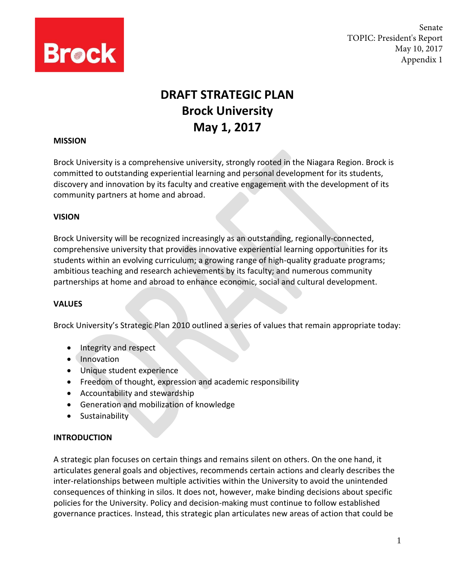

Senate TOPIC: President's Report May 10, 2017 Appendix 1

# **DRAFT STRATEGIC PLAN Brock University May 1, 2017**

#### **MISSION**

Brock University is a comprehensive university, strongly rooted in the Niagara Region. Brock is committed to outstanding experiential learning and personal development for its students, discovery and innovation by its faculty and creative engagement with the development of its community partners at home and abroad.

#### **VISION**

Brock University will be recognized increasingly as an outstanding, regionally-connected, comprehensive university that provides innovative experiential learning opportunities for its students within an evolving curriculum; a growing range of high-quality graduate programs; ambitious teaching and research achievements by its faculty; and numerous community partnerships at home and abroad to enhance economic, social and cultural development.

#### **VALUES**

Brock University's Strategic Plan 2010 outlined a series of values that remain appropriate today:

- Integrity and respect
- Innovation
- Unique student experience
- Freedom of thought, expression and academic responsibility
- Accountability and stewardship
- Generation and mobilization of knowledge
- **•** Sustainability

#### **INTRODUCTION**

A strategic plan focuses on certain things and remains silent on others. On the one hand, it articulates general goals and objectives, recommends certain actions and clearly describes the inter-relationships between multiple activities within the University to avoid the unintended consequences of thinking in silos. It does not, however, make binding decisions about specific policies for the University. Policy and decision-making must continue to follow established governance practices. Instead, this strategic plan articulates new areas of action that could be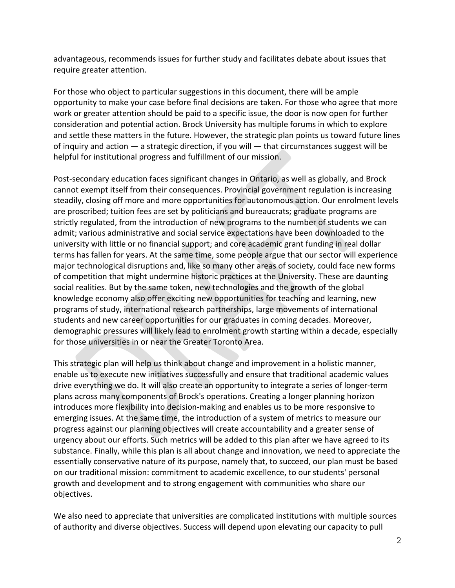advantageous, recommends issues for further study and facilitates debate about issues that require greater attention.

For those who object to particular suggestions in this document, there will be ample opportunity to make your case before final decisions are taken. For those who agree that more work or greater attention should be paid to a specific issue, the door is now open for further consideration and potential action. Brock University has multiple forums in which to explore and settle these matters in the future. However, the strategic plan points us toward future lines of inquiry and action  $-$  a strategic direction, if you will  $-$  that circumstances suggest will be helpful for institutional progress and fulfillment of our mission.

Post-secondary education faces significant changes in Ontario, as well as globally, and Brock cannot exempt itself from their consequences. Provincial government regulation is increasing steadily, closing off more and more opportunities for autonomous action. Our enrolment levels are proscribed; tuition fees are set by politicians and bureaucrats; graduate programs are strictly regulated, from the introduction of new programs to the number of students we can admit; various administrative and social service expectations have been downloaded to the university with little or no financial support; and core academic grant funding in real dollar terms has fallen for years. At the same time, some people argue that our sector will experience major technological disruptions and, like so many other areas of society, could face new forms of competition that might undermine historic practices at the University. These are daunting social realities. But by the same token, new technologies and the growth of the global knowledge economy also offer exciting new opportunities for teaching and learning, new programs of study, international research partnerships, large movements of international students and new career opportunities for our graduates in coming decades. Moreover, demographic pressures will likely lead to enrolment growth starting within a decade, especially for those universities in or near the Greater Toronto Area.

This strategic plan will help us think about change and improvement in a holistic manner, enable us to execute new initiatives successfully and ensure that traditional academic values drive everything we do. It will also create an opportunity to integrate a series of longer-term plans across many components of Brock's operations. Creating a longer planning horizon introduces more flexibility into decision-making and enables us to be more responsive to emerging issues. At the same time, the introduction of a system of metrics to measure our progress against our planning objectives will create accountability and a greater sense of urgency about our efforts. Such metrics will be added to this plan after we have agreed to its substance. Finally, while this plan is all about change and innovation, we need to appreciate the essentially conservative nature of its purpose, namely that, to succeed, our plan must be based on our traditional mission: commitment to academic excellence, to our students' personal growth and development and to strong engagement with communities who share our objectives.

We also need to appreciate that universities are complicated institutions with multiple sources of authority and diverse objectives. Success will depend upon elevating our capacity to pull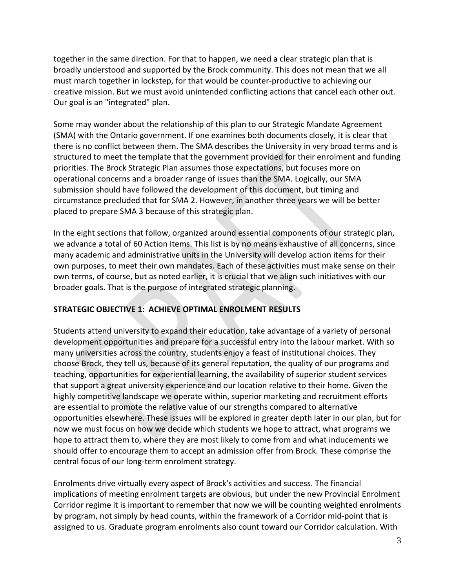together in the same direction. For that to happen, we need a clear strategic plan that is broadly understood and supported by the Brock community. This does not mean that we all must march together in lockstep, for that would be counter-productive to achieving our creative mission. But we must avoid unintended conflicting actions that cancel each other out. Our goal is an "integrated" plan.

Some may wonder about the relationship of this plan to our Strategic Mandate Agreement (SMA) with the Ontario government. If one examines both documents closely, it is clear that there is no conflict between them. The SMA describes the University in very broad terms and is structured to meet the template that the government provided for their enrolment and funding priorities. The Brock Strategic Plan assumes those expectations, but focuses more on operational concerns and a broader range of issues than the SMA. Logically, our SMA submission should have followed the development of this document, but timing and circumstance precluded that for SMA 2. However, in another three years we will be better placed to prepare SMA 3 because of this strategic plan.

In the eight sections that follow, organized around essential components of our strategic plan, we advance a total of 60 Action Items. This list is by no means exhaustive of all concerns, since many academic and administrative units in the University will develop action items for their own purposes, to meet their own mandates. Each of these activities must make sense on their own terms, of course, but as noted earlier, it is crucial that we align such initiatives with our broader goals. That is the purpose of integrated strategic planning.

# **STRATEGIC OBJECTIVE 1: ACHIEVE OPTIMAL ENROLMENT RESULTS**

Students attend university to expand their education, take advantage of a variety of personal development opportunities and prepare for a successful entry into the labour market. With so many universities across the country, students enjoy a feast of institutional choices. They choose Brock, they tell us, because of its general reputation, the quality of our programs and teaching, opportunities for experiential learning, the availability of superior student services that support a great university experience and our location relative to their home. Given the highly competitive landscape we operate within, superior marketing and recruitment efforts are essential to promote the relative value of our strengths compared to alternative opportunities elsewhere. These issues will be explored in greater depth later in our plan, but for now we must focus on how we decide which students we hope to attract, what programs we hope to attract them to, where they are most likely to come from and what inducements we should offer to encourage them to accept an admission offer from Brock. These comprise the central focus of our long-term enrolment strategy.

Enrolments drive virtually every aspect of Brock's activities and success. The financial implications of meeting enrolment targets are obvious, but under the new Provincial Enrolment Corridor regime it is important to remember that now we will be counting weighted enrolments by program, not simply by head counts, within the framework of a Corridor mid-point that is assigned to us. Graduate program enrolments also count toward our Corridor calculation. With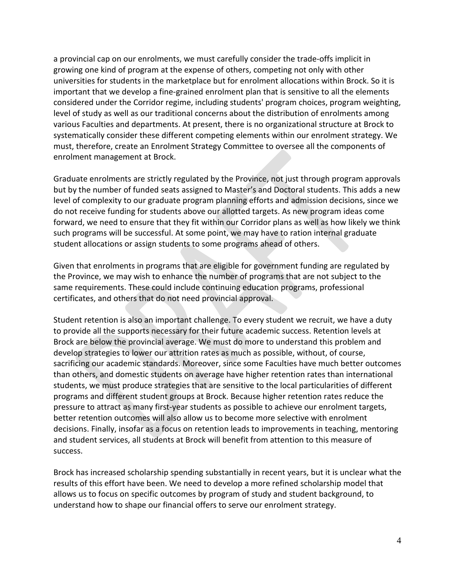a provincial cap on our enrolments, we must carefully consider the trade-offs implicit in growing one kind of program at the expense of others, competing not only with other universities for students in the marketplace but for enrolment allocations within Brock. So it is important that we develop a fine-grained enrolment plan that is sensitive to all the elements considered under the Corridor regime, including students' program choices, program weighting, level of study as well as our traditional concerns about the distribution of enrolments among various Faculties and departments. At present, there is no organizational structure at Brock to systematically consider these different competing elements within our enrolment strategy. We must, therefore, create an Enrolment Strategy Committee to oversee all the components of enrolment management at Brock.

Graduate enrolments are strictly regulated by the Province, not just through program approvals but by the number of funded seats assigned to Master's and Doctoral students. This adds a new level of complexity to our graduate program planning efforts and admission decisions, since we do not receive funding for students above our allotted targets. As new program ideas come forward, we need to ensure that they fit within our Corridor plans as well as how likely we think such programs will be successful. At some point, we may have to ration internal graduate student allocations or assign students to some programs ahead of others.

Given that enrolments in programs that are eligible for government funding are regulated by the Province, we may wish to enhance the number of programs that are not subject to the same requirements. These could include continuing education programs, professional certificates, and others that do not need provincial approval.

Student retention is also an important challenge. To every student we recruit, we have a duty to provide all the supports necessary for their future academic success. Retention levels at Brock are below the provincial average. We must do more to understand this problem and develop strategies to lower our attrition rates as much as possible, without, of course, sacrificing our academic standards. Moreover, since some Faculties have much better outcomes than others, and domestic students on average have higher retention rates than international students, we must produce strategies that are sensitive to the local particularities of different programs and different student groups at Brock. Because higher retention rates reduce the pressure to attract as many first-year students as possible to achieve our enrolment targets, better retention outcomes will also allow us to become more selective with enrolment decisions. Finally, insofar as a focus on retention leads to improvements in teaching, mentoring and student services, all students at Brock will benefit from attention to this measure of success.

Brock has increased scholarship spending substantially in recent years, but it is unclear what the results of this effort have been. We need to develop a more refined scholarship model that allows us to focus on specific outcomes by program of study and student background, to understand how to shape our financial offers to serve our enrolment strategy.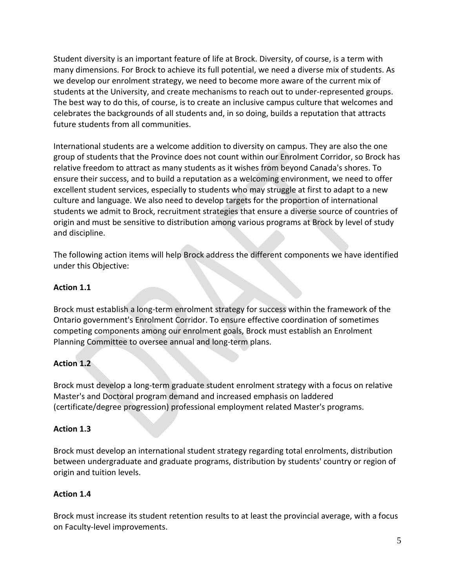Student diversity is an important feature of life at Brock. Diversity, of course, is a term with many dimensions. For Brock to achieve its full potential, we need a diverse mix of students. As we develop our enrolment strategy, we need to become more aware of the current mix of students at the University, and create mechanisms to reach out to under-represented groups. The best way to do this, of course, is to create an inclusive campus culture that welcomes and celebrates the backgrounds of all students and, in so doing, builds a reputation that attracts future students from all communities.

International students are a welcome addition to diversity on campus. They are also the one group of students that the Province does not count within our Enrolment Corridor, so Brock has relative freedom to attract as many students as it wishes from beyond Canada's shores. To ensure their success, and to build a reputation as a welcoming environment, we need to offer excellent student services, especially to students who may struggle at first to adapt to a new culture and language. We also need to develop targets for the proportion of international students we admit to Brock, recruitment strategies that ensure a diverse source of countries of origin and must be sensitive to distribution among various programs at Brock by level of study and discipline.

The following action items will help Brock address the different components we have identified under this Objective:

# **Action 1.1**

Brock must establish a long-term enrolment strategy for success within the framework of the Ontario government's Enrolment Corridor. To ensure effective coordination of sometimes competing components among our enrolment goals, Brock must establish an Enrolment Planning Committee to oversee annual and long-term plans.

# **Action 1.2**

Brock must develop a long-term graduate student enrolment strategy with a focus on relative Master's and Doctoral program demand and increased emphasis on laddered (certificate/degree progression) professional employment related Master's programs.

# **Action 1.3**

Brock must develop an international student strategy regarding total enrolments, distribution between undergraduate and graduate programs, distribution by students' country or region of origin and tuition levels.

# **Action 1.4**

Brock must increase its student retention results to at least the provincial average, with a focus on Faculty-level improvements.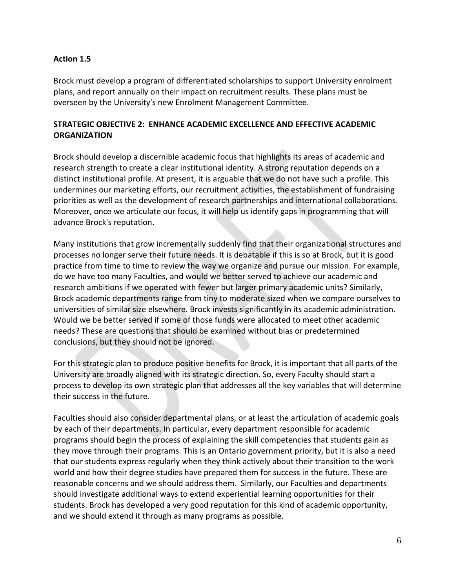## **Action 1.5**

Brock must develop a program of differentiated scholarships to support University enrolment plans, and report annually on their impact on recruitment results. These plans must be overseen by the University's new Enrolment Management Committee.

# **STRATEGIC OBJECTIVE 2: ENHANCE ACADEMIC EXCELLENCE AND EFFECTIVE ACADEMIC ORGANIZATION**

Brock should develop a discernible academic focus that highlights its areas of academic and research strength to create a clear institutional identity. A strong reputation depends on a distinct institutional profile. At present, it is arguable that we do not have such a profile. This undermines our marketing efforts, our recruitment activities, the establishment of fundraising priorities as well as the development of research partnerships and international collaborations. Moreover, once we articulate our focus, it will help us identify gaps in programming that will advance Brock's reputation.

Many institutions that grow incrementally suddenly find that their organizational structures and processes no longer serve their future needs. It is debatable if this is so at Brock, but it is good practice from time to time to review the way we organize and pursue our mission. For example, do we have too many Faculties, and would we better served to achieve our academic and research ambitions if we operated with fewer but larger primary academic units? Similarly, Brock academic departments range from tiny to moderate sized when we compare ourselves to universities of similar size elsewhere. Brock invests significantly in its academic administration. Would we be better served if some of those funds were allocated to meet other academic needs? These are questions that should be examined without bias or predetermined conclusions, but they should not be ignored.

For this strategic plan to produce positive benefits for Brock, it is important that all parts of the University are broadly aligned with its strategic direction. So, every Faculty should start a process to develop its own strategic plan that addresses all the key variables that will determine their success in the future.

Faculties should also consider departmental plans, or at least the articulation of academic goals by each of their departments. In particular, every department responsible for academic programs should begin the process of explaining the skill competencies that students gain as they move through their programs. This is an Ontario government priority, but it is also a need that our students express regularly when they think actively about their transition to the work world and how their degree studies have prepared them for success in the future. These are reasonable concerns and we should address them. Similarly, our Faculties and departments should investigate additional ways to extend experiential learning opportunities for their students. Brock has developed a very good reputation for this kind of academic opportunity, and we should extend it through as many programs as possible.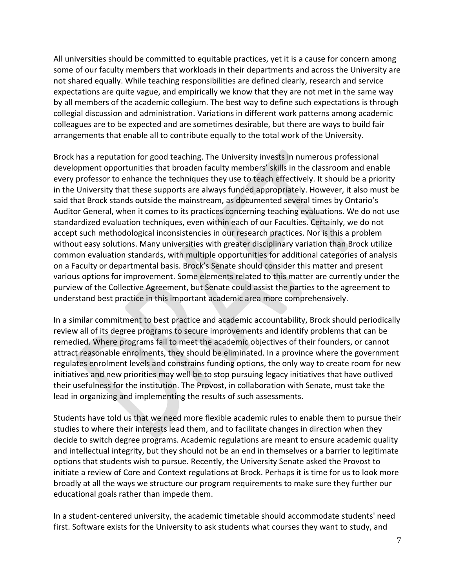All universities should be committed to equitable practices, yet it is a cause for concern among some of our faculty members that workloads in their departments and across the University are not shared equally. While teaching responsibilities are defined clearly, research and service expectations are quite vague, and empirically we know that they are not met in the same way by all members of the academic collegium. The best way to define such expectations is through collegial discussion and administration. Variations in different work patterns among academic colleagues are to be expected and are sometimes desirable, but there are ways to build fair arrangements that enable all to contribute equally to the total work of the University.

Brock has a reputation for good teaching. The University invests in numerous professional development opportunities that broaden faculty members' skills in the classroom and enable every professor to enhance the techniques they use to teach effectively. It should be a priority in the University that these supports are always funded appropriately. However, it also must be said that Brock stands outside the mainstream, as documented several times by Ontario's Auditor General, when it comes to its practices concerning teaching evaluations. We do not use standardized evaluation techniques, even within each of our Faculties. Certainly, we do not accept such methodological inconsistencies in our research practices. Nor is this a problem without easy solutions. Many universities with greater disciplinary variation than Brock utilize common evaluation standards, with multiple opportunities for additional categories of analysis on a Faculty or departmental basis. Brock's Senate should consider this matter and present various options for improvement. Some elements related to this matter are currently under the purview of the Collective Agreement, but Senate could assist the parties to the agreement to understand best practice in this important academic area more comprehensively.

In a similar commitment to best practice and academic accountability, Brock should periodically review all of its degree programs to secure improvements and identify problems that can be remedied. Where programs fail to meet the academic objectives of their founders, or cannot attract reasonable enrolments, they should be eliminated. In a province where the government regulates enrolment levels and constrains funding options, the only way to create room for new initiatives and new priorities may well be to stop pursuing legacy initiatives that have outlived their usefulness for the institution. The Provost, in collaboration with Senate, must take the lead in organizing and implementing the results of such assessments.

Students have told us that we need more flexible academic rules to enable them to pursue their studies to where their interests lead them, and to facilitate changes in direction when they decide to switch degree programs. Academic regulations are meant to ensure academic quality and intellectual integrity, but they should not be an end in themselves or a barrier to legitimate options that students wish to pursue. Recently, the University Senate asked the Provost to initiate a review of Core and Context regulations at Brock. Perhaps it is time for us to look more broadly at all the ways we structure our program requirements to make sure they further our educational goals rather than impede them.

In a student-centered university, the academic timetable should accommodate students' need first. Software exists for the University to ask students what courses they want to study, and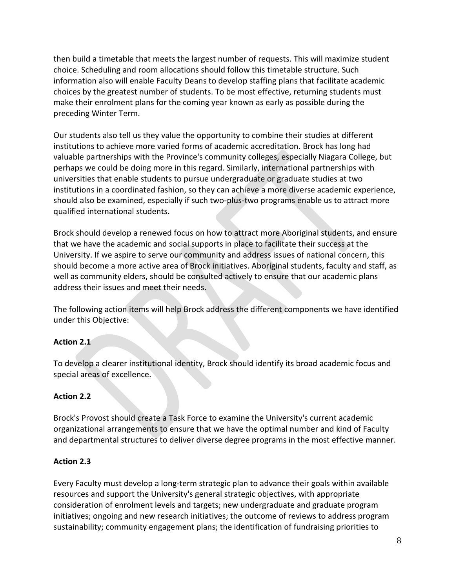then build a timetable that meets the largest number of requests. This will maximize student choice. Scheduling and room allocations should follow this timetable structure. Such information also will enable Faculty Deans to develop staffing plans that facilitate academic choices by the greatest number of students. To be most effective, returning students must make their enrolment plans for the coming year known as early as possible during the preceding Winter Term.

Our students also tell us they value the opportunity to combine their studies at different institutions to achieve more varied forms of academic accreditation. Brock has long had valuable partnerships with the Province's community colleges, especially Niagara College, but perhaps we could be doing more in this regard. Similarly, international partnerships with universities that enable students to pursue undergraduate or graduate studies at two institutions in a coordinated fashion, so they can achieve a more diverse academic experience, should also be examined, especially if such two-plus-two programs enable us to attract more qualified international students.

Brock should develop a renewed focus on how to attract more Aboriginal students, and ensure that we have the academic and social supports in place to facilitate their success at the University. If we aspire to serve our community and address issues of national concern, this should become a more active area of Brock initiatives. Aboriginal students, faculty and staff, as well as community elders, should be consulted actively to ensure that our academic plans address their issues and meet their needs.

The following action items will help Brock address the different components we have identified under this Objective:

# **Action 2.1**

To develop a clearer institutional identity, Brock should identify its broad academic focus and special areas of excellence.

# **Action 2.2**

Brock's Provost should create a Task Force to examine the University's current academic organizational arrangements to ensure that we have the optimal number and kind of Faculty and departmental structures to deliver diverse degree programs in the most effective manner.

# **Action 2.3**

Every Faculty must develop a long-term strategic plan to advance their goals within available resources and support the University's general strategic objectives, with appropriate consideration of enrolment levels and targets; new undergraduate and graduate program initiatives; ongoing and new research initiatives; the outcome of reviews to address program sustainability; community engagement plans; the identification of fundraising priorities to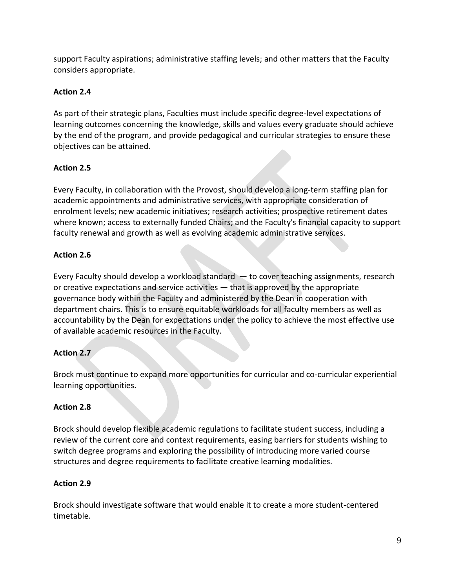support Faculty aspirations; administrative staffing levels; and other matters that the Faculty considers appropriate.

# **Action 2.4**

As part of their strategic plans, Faculties must include specific degree-level expectations of learning outcomes concerning the knowledge, skills and values every graduate should achieve by the end of the program, and provide pedagogical and curricular strategies to ensure these objectives can be attained.

# **Action 2.5**

Every Faculty, in collaboration with the Provost, should develop a long-term staffing plan for academic appointments and administrative services, with appropriate consideration of enrolment levels; new academic initiatives; research activities; prospective retirement dates where known; access to externally funded Chairs; and the Faculty's financial capacity to support faculty renewal and growth as well as evolving academic administrative services.

# **Action 2.6**

Every Faculty should develop a workload standard — to cover teaching assignments, research or creative expectations and service activities — that is approved by the appropriate governance body within the Faculty and administered by the Dean in cooperation with department chairs. This is to ensure equitable workloads for all faculty members as well as accountability by the Dean for expectations under the policy to achieve the most effective use of available academic resources in the Faculty.

# **Action 2.7**

Brock must continue to expand more opportunities for curricular and co-curricular experiential learning opportunities.

# **Action 2.8**

Brock should develop flexible academic regulations to facilitate student success, including a review of the current core and context requirements, easing barriers for students wishing to switch degree programs and exploring the possibility of introducing more varied course structures and degree requirements to facilitate creative learning modalities.

# **Action 2.9**

Brock should investigate software that would enable it to create a more student-centered timetable.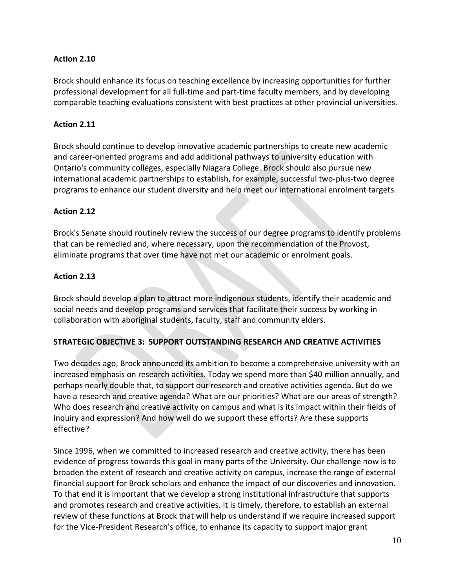# **Action 2.10**

Brock should enhance its focus on teaching excellence by increasing opportunities for further professional development for all full-time and part-time faculty members, and by developing comparable teaching evaluations consistent with best practices at other provincial universities.

# **Action 2.11**

Brock should continue to develop innovative academic partnerships to create new academic and career-oriented programs and add additional pathways to university education with Ontario's community colleges, especially Niagara College. Brock should also pursue new international academic partnerships to establish, for example, successful two-plus-two degree programs to enhance our student diversity and help meet our international enrolment targets.

# **Action 2.12**

Brock's Senate should routinely review the success of our degree programs to identify problems that can be remedied and, where necessary, upon the recommendation of the Provost, eliminate programs that over time have not met our academic or enrolment goals.

# **Action 2.13**

Brock should develop a plan to attract more indigenous students, identify their academic and social needs and develop programs and services that facilitate their success by working in collaboration with aboriginal students, faculty, staff and community elders.

# **STRATEGIC OBJECTIVE 3: SUPPORT OUTSTANDING RESEARCH AND CREATIVE ACTIVITIES**

Two decades ago, Brock announced its ambition to become a comprehensive university with an increased emphasis on research activities. Today we spend more than \$40 million annually, and perhaps nearly double that, to support our research and creative activities agenda. But do we have a research and creative agenda? What are our priorities? What are our areas of strength? Who does research and creative activity on campus and what is its impact within their fields of inquiry and expression? And how well do we support these efforts? Are these supports effective?

Since 1996, when we committed to increased research and creative activity, there has been evidence of progress towards this goal in many parts of the University. Our challenge now is to broaden the extent of research and creative activity on campus, increase the range of external financial support for Brock scholars and enhance the impact of our discoveries and innovation. To that end it is important that we develop a strong institutional infrastructure that supports and promotes research and creative activities. It is timely, therefore, to establish an external review of these functions at Brock that will help us understand if we require increased support for the Vice-President Research's office, to enhance its capacity to support major grant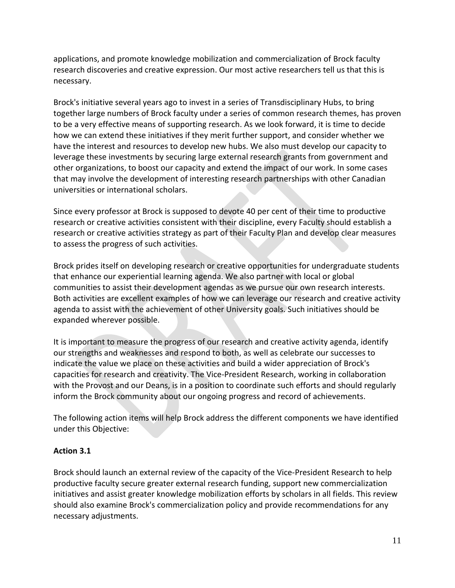applications, and promote knowledge mobilization and commercialization of Brock faculty research discoveries and creative expression. Our most active researchers tell us that this is necessary.

Brock's initiative several years ago to invest in a series of Transdisciplinary Hubs, to bring together large numbers of Brock faculty under a series of common research themes, has proven to be a very effective means of supporting research. As we look forward, it is time to decide how we can extend these initiatives if they merit further support, and consider whether we have the interest and resources to develop new hubs. We also must develop our capacity to leverage these investments by securing large external research grants from government and other organizations, to boost our capacity and extend the impact of our work. In some cases that may involve the development of interesting research partnerships with other Canadian universities or international scholars.

Since every professor at Brock is supposed to devote 40 per cent of their time to productive research or creative activities consistent with their discipline, every Faculty should establish a research or creative activities strategy as part of their Faculty Plan and develop clear measures to assess the progress of such activities.

Brock prides itself on developing research or creative opportunities for undergraduate students that enhance our experiential learning agenda. We also partner with local or global communities to assist their development agendas as we pursue our own research interests. Both activities are excellent examples of how we can leverage our research and creative activity agenda to assist with the achievement of other University goals. Such initiatives should be expanded wherever possible.

It is important to measure the progress of our research and creative activity agenda, identify our strengths and weaknesses and respond to both, as well as celebrate our successes to indicate the value we place on these activities and build a wider appreciation of Brock's capacities for research and creativity. The Vice-President Research, working in collaboration with the Provost and our Deans, is in a position to coordinate such efforts and should regularly inform the Brock community about our ongoing progress and record of achievements.

The following action items will help Brock address the different components we have identified under this Objective:

# **Action 3.1**

Brock should launch an external review of the capacity of the Vice-President Research to help productive faculty secure greater external research funding, support new commercialization initiatives and assist greater knowledge mobilization efforts by scholars in all fields. This review should also examine Brock's commercialization policy and provide recommendations for any necessary adjustments.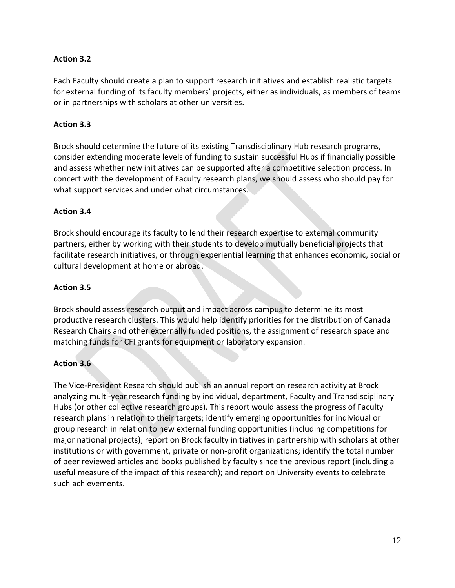# **Action 3.2**

Each Faculty should create a plan to support research initiatives and establish realistic targets for external funding of its faculty members' projects, either as individuals, as members of teams or in partnerships with scholars at other universities.

## **Action 3.3**

Brock should determine the future of its existing Transdisciplinary Hub research programs, consider extending moderate levels of funding to sustain successful Hubs if financially possible and assess whether new initiatives can be supported after a competitive selection process. In concert with the development of Faculty research plans, we should assess who should pay for what support services and under what circumstances.

#### **Action 3.4**

Brock should encourage its faculty to lend their research expertise to external community partners, either by working with their students to develop mutually beneficial projects that facilitate research initiatives, or through experiential learning that enhances economic, social or cultural development at home or abroad.

# **Action 3.5**

Brock should assess research output and impact across campus to determine its most productive research clusters. This would help identify priorities for the distribution of Canada Research Chairs and other externally funded positions, the assignment of research space and matching funds for CFI grants for equipment or laboratory expansion.

# **Action 3.6**

The Vice-President Research should publish an annual report on research activity at Brock analyzing multi-year research funding by individual, department, Faculty and Transdisciplinary Hubs (or other collective research groups). This report would assess the progress of Faculty research plans in relation to their targets; identify emerging opportunities for individual or group research in relation to new external funding opportunities (including competitions for major national projects); report on Brock faculty initiatives in partnership with scholars at other institutions or with government, private or non-profit organizations; identify the total number of peer reviewed articles and books published by faculty since the previous report (including a useful measure of the impact of this research); and report on University events to celebrate such achievements.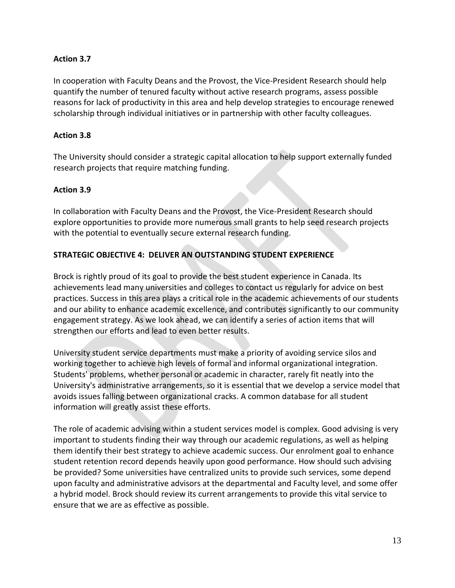# **Action 3.7**

In cooperation with Faculty Deans and the Provost, the Vice-President Research should help quantify the number of tenured faculty without active research programs, assess possible reasons for lack of productivity in this area and help develop strategies to encourage renewed scholarship through individual initiatives or in partnership with other faculty colleagues.

# **Action 3.8**

The University should consider a strategic capital allocation to help support externally funded research projects that require matching funding.

# **Action 3.9**

In collaboration with Faculty Deans and the Provost, the Vice-President Research should explore opportunities to provide more numerous small grants to help seed research projects with the potential to eventually secure external research funding.

# **STRATEGIC OBJECTIVE 4: DELIVER AN OUTSTANDING STUDENT EXPERIENCE**

Brock is rightly proud of its goal to provide the best student experience in Canada. Its achievements lead many universities and colleges to contact us regularly for advice on best practices. Success in this area plays a critical role in the academic achievements of our students and our ability to enhance academic excellence, and contributes significantly to our community engagement strategy. As we look ahead, we can identify a series of action items that will strengthen our efforts and lead to even better results.

University student service departments must make a priority of avoiding service silos and working together to achieve high levels of formal and informal organizational integration. Students' problems, whether personal or academic in character, rarely fit neatly into the University's administrative arrangements, so it is essential that we develop a service model that avoids issues falling between organizational cracks. A common database for all student information will greatly assist these efforts.

The role of academic advising within a student services model is complex. Good advising is very important to students finding their way through our academic regulations, as well as helping them identify their best strategy to achieve academic success. Our enrolment goal to enhance student retention record depends heavily upon good performance. How should such advising be provided? Some universities have centralized units to provide such services, some depend upon faculty and administrative advisors at the departmental and Faculty level, and some offer a hybrid model. Brock should review its current arrangements to provide this vital service to ensure that we are as effective as possible.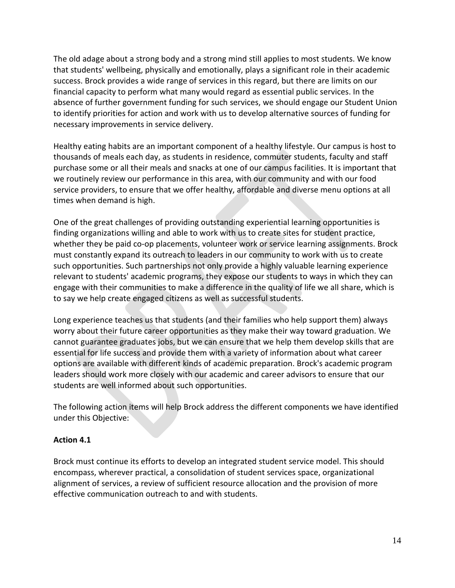The old adage about a strong body and a strong mind still applies to most students. We know that students' wellbeing, physically and emotionally, plays a significant role in their academic success. Brock provides a wide range of services in this regard, but there are limits on our financial capacity to perform what many would regard as essential public services. In the absence of further government funding for such services, we should engage our Student Union to identify priorities for action and work with us to develop alternative sources of funding for necessary improvements in service delivery.

Healthy eating habits are an important component of a healthy lifestyle. Our campus is host to thousands of meals each day, as students in residence, commuter students, faculty and staff purchase some or all their meals and snacks at one of our campus facilities. It is important that we routinely review our performance in this area, with our community and with our food service providers, to ensure that we offer healthy, affordable and diverse menu options at all times when demand is high.

One of the great challenges of providing outstanding experiential learning opportunities is finding organizations willing and able to work with us to create sites for student practice, whether they be paid co-op placements, volunteer work or service learning assignments. Brock must constantly expand its outreach to leaders in our community to work with us to create such opportunities. Such partnerships not only provide a highly valuable learning experience relevant to students' academic programs, they expose our students to ways in which they can engage with their communities to make a difference in the quality of life we all share, which is to say we help create engaged citizens as well as successful students.

Long experience teaches us that students (and their families who help support them) always worry about their future career opportunities as they make their way toward graduation. We cannot guarantee graduates jobs, but we can ensure that we help them develop skills that are essential for life success and provide them with a variety of information about what career options are available with different kinds of academic preparation. Brock's academic program leaders should work more closely with our academic and career advisors to ensure that our students are well informed about such opportunities.

The following action items will help Brock address the different components we have identified under this Objective:

# **Action 4.1**

Brock must continue its efforts to develop an integrated student service model. This should encompass, wherever practical, a consolidation of student services space, organizational alignment of services, a review of sufficient resource allocation and the provision of more effective communication outreach to and with students.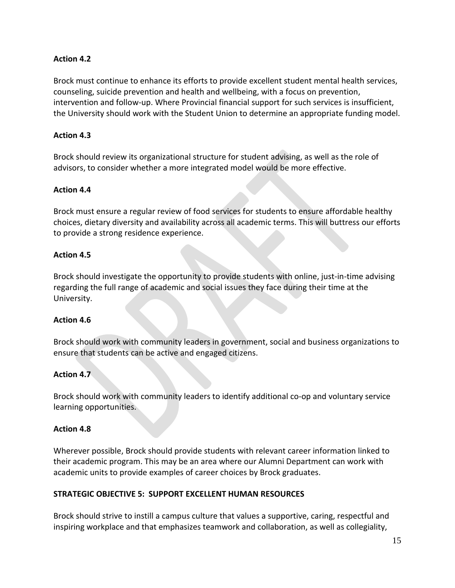# **Action 4.2**

Brock must continue to enhance its efforts to provide excellent student mental health services, counseling, suicide prevention and health and wellbeing, with a focus on prevention, intervention and follow-up. Where Provincial financial support for such services is insufficient, the University should work with the Student Union to determine an appropriate funding model.

# **Action 4.3**

Brock should review its organizational structure for student advising, as well as the role of advisors, to consider whether a more integrated model would be more effective.

#### **Action 4.4**

Brock must ensure a regular review of food services for students to ensure affordable healthy choices, dietary diversity and availability across all academic terms. This will buttress our efforts to provide a strong residence experience.

#### **Action 4.5**

Brock should investigate the opportunity to provide students with online, just-in-time advising regarding the full range of academic and social issues they face during their time at the University.

#### **Action 4.6**

Brock should work with community leaders in government, social and business organizations to ensure that students can be active and engaged citizens.

# **Action 4.7**

Brock should work with community leaders to identify additional co-op and voluntary service learning opportunities.

#### **Action 4.8**

Wherever possible, Brock should provide students with relevant career information linked to their academic program. This may be an area where our Alumni Department can work with academic units to provide examples of career choices by Brock graduates.

# **STRATEGIC OBJECTIVE 5: SUPPORT EXCELLENT HUMAN RESOURCES**

Brock should strive to instill a campus culture that values a supportive, caring, respectful and inspiring workplace and that emphasizes teamwork and collaboration, as well as collegiality,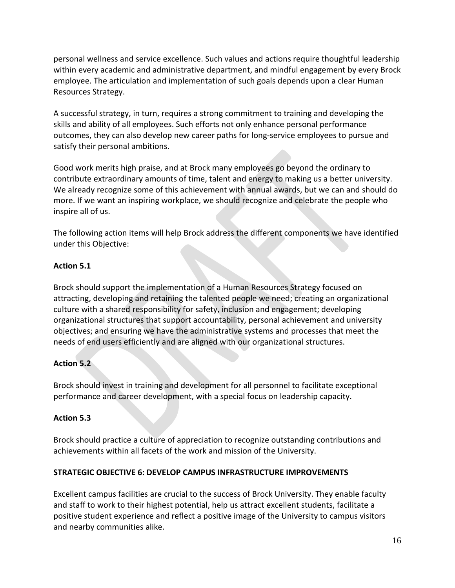personal wellness and service excellence. Such values and actions require thoughtful leadership within every academic and administrative department, and mindful engagement by every Brock employee. The articulation and implementation of such goals depends upon a clear Human Resources Strategy.

A successful strategy, in turn, requires a strong commitment to training and developing the skills and ability of all employees. Such efforts not only enhance personal performance outcomes, they can also develop new career paths for long-service employees to pursue and satisfy their personal ambitions.

Good work merits high praise, and at Brock many employees go beyond the ordinary to contribute extraordinary amounts of time, talent and energy to making us a better university. We already recognize some of this achievement with annual awards, but we can and should do more. If we want an inspiring workplace, we should recognize and celebrate the people who inspire all of us.

The following action items will help Brock address the different components we have identified under this Objective:

# **Action 5.1**

Brock should support the implementation of a Human Resources Strategy focused on attracting, developing and retaining the talented people we need; creating an organizational culture with a shared responsibility for safety, inclusion and engagement; developing organizational structures that support accountability, personal achievement and university objectives; and ensuring we have the administrative systems and processes that meet the needs of end users efficiently and are aligned with our organizational structures.

# **Action 5.2**

Brock should invest in training and development for all personnel to facilitate exceptional performance and career development, with a special focus on leadership capacity.

# **Action 5.3**

Brock should practice a culture of appreciation to recognize outstanding contributions and achievements within all facets of the work and mission of the University.

# **STRATEGIC OBJECTIVE 6: DEVELOP CAMPUS INFRASTRUCTURE IMPROVEMENTS**

Excellent campus facilities are crucial to the success of Brock University. They enable faculty and staff to work to their highest potential, help us attract excellent students, facilitate a positive student experience and reflect a positive image of the University to campus visitors and nearby communities alike.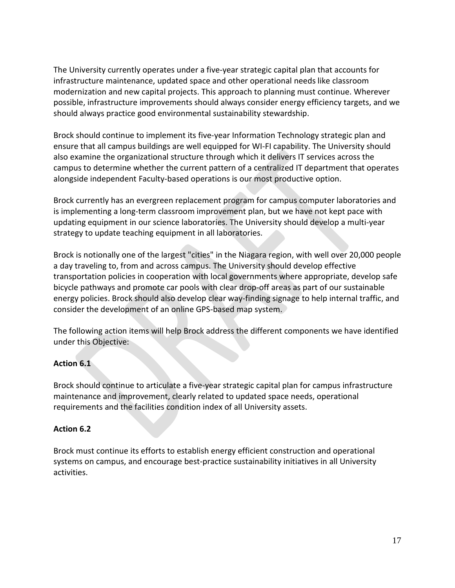The University currently operates under a five-year strategic capital plan that accounts for infrastructure maintenance, updated space and other operational needs like classroom modernization and new capital projects. This approach to planning must continue. Wherever possible, infrastructure improvements should always consider energy efficiency targets, and we should always practice good environmental sustainability stewardship.

Brock should continue to implement its five-year Information Technology strategic plan and ensure that all campus buildings are well equipped for WI-FI capability. The University should also examine the organizational structure through which it delivers IT services across the campus to determine whether the current pattern of a centralized IT department that operates alongside independent Faculty-based operations is our most productive option.

Brock currently has an evergreen replacement program for campus computer laboratories and is implementing a long-term classroom improvement plan, but we have not kept pace with updating equipment in our science laboratories. The University should develop a multi-year strategy to update teaching equipment in all laboratories.

Brock is notionally one of the largest "cities" in the Niagara region, with well over 20,000 people a day traveling to, from and across campus. The University should develop effective transportation policies in cooperation with local governments where appropriate, develop safe bicycle pathways and promote car pools with clear drop-off areas as part of our sustainable energy policies. Brock should also develop clear way-finding signage to help internal traffic, and consider the development of an online GPS-based map system.

The following action items will help Brock address the different components we have identified under this Objective:

# **Action 6.1**

Brock should continue to articulate a five-year strategic capital plan for campus infrastructure maintenance and improvement, clearly related to updated space needs, operational requirements and the facilities condition index of all University assets.

# **Action 6.2**

Brock must continue its efforts to establish energy efficient construction and operational systems on campus, and encourage best-practice sustainability initiatives in all University activities.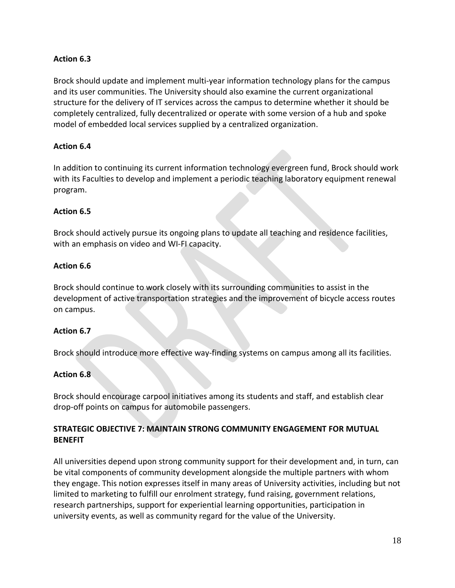# **Action 6.3**

Brock should update and implement multi-year information technology plans for the campus and its user communities. The University should also examine the current organizational structure for the delivery of IT services across the campus to determine whether it should be completely centralized, fully decentralized or operate with some version of a hub and spoke model of embedded local services supplied by a centralized organization.

# **Action 6.4**

In addition to continuing its current information technology evergreen fund, Brock should work with its Faculties to develop and implement a periodic teaching laboratory equipment renewal program.

# **Action 6.5**

Brock should actively pursue its ongoing plans to update all teaching and residence facilities, with an emphasis on video and WI-FI capacity.

# **Action 6.6**

Brock should continue to work closely with its surrounding communities to assist in the development of active transportation strategies and the improvement of bicycle access routes on campus.

# **Action 6.7**

Brock should introduce more effective way-finding systems on campus among all its facilities.

# **Action 6.8**

Brock should encourage carpool initiatives among its students and staff, and establish clear drop-off points on campus for automobile passengers.

# **STRATEGIC OBJECTIVE 7: MAINTAIN STRONG COMMUNITY ENGAGEMENT FOR MUTUAL BENEFIT**

All universities depend upon strong community support for their development and, in turn, can be vital components of community development alongside the multiple partners with whom they engage. This notion expresses itself in many areas of University activities, including but not limited to marketing to fulfill our enrolment strategy, fund raising, government relations, research partnerships, support for experiential learning opportunities, participation in university events, as well as community regard for the value of the University.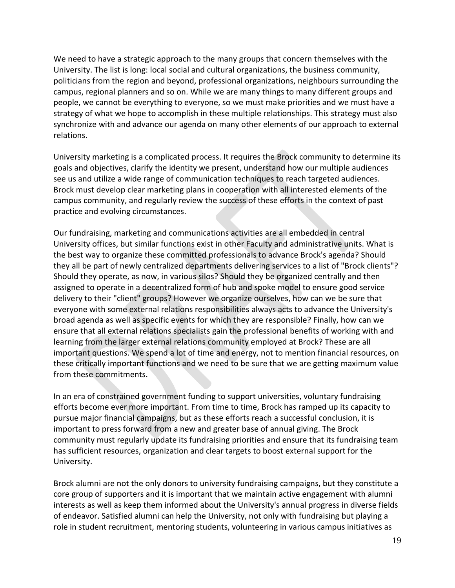We need to have a strategic approach to the many groups that concern themselves with the University. The list is long: local social and cultural organizations, the business community, politicians from the region and beyond, professional organizations, neighbours surrounding the campus, regional planners and so on. While we are many things to many different groups and people, we cannot be everything to everyone, so we must make priorities and we must have a strategy of what we hope to accomplish in these multiple relationships. This strategy must also synchronize with and advance our agenda on many other elements of our approach to external relations.

University marketing is a complicated process. It requires the Brock community to determine its goals and objectives, clarify the identity we present, understand how our multiple audiences see us and utilize a wide range of communication techniques to reach targeted audiences. Brock must develop clear marketing plans in cooperation with all interested elements of the campus community, and regularly review the success of these efforts in the context of past practice and evolving circumstances.

Our fundraising, marketing and communications activities are all embedded in central University offices, but similar functions exist in other Faculty and administrative units. What is the best way to organize these committed professionals to advance Brock's agenda? Should they all be part of newly centralized departments delivering services to a list of "Brock clients"? Should they operate, as now, in various silos? Should they be organized centrally and then assigned to operate in a decentralized form of hub and spoke model to ensure good service delivery to their "client" groups? However we organize ourselves, how can we be sure that everyone with some external relations responsibilities always acts to advance the University's broad agenda as well as specific events for which they are responsible? Finally, how can we ensure that all external relations specialists gain the professional benefits of working with and learning from the larger external relations community employed at Brock? These are all important questions. We spend a lot of time and energy, not to mention financial resources, on these critically important functions and we need to be sure that we are getting maximum value from these commitments.

In an era of constrained government funding to support universities, voluntary fundraising efforts become ever more important. From time to time, Brock has ramped up its capacity to pursue major financial campaigns, but as these efforts reach a successful conclusion, it is important to press forward from a new and greater base of annual giving. The Brock community must regularly update its fundraising priorities and ensure that its fundraising team has sufficient resources, organization and clear targets to boost external support for the University.

Brock alumni are not the only donors to university fundraising campaigns, but they constitute a core group of supporters and it is important that we maintain active engagement with alumni interests as well as keep them informed about the University's annual progress in diverse fields of endeavor. Satisfied alumni can help the University, not only with fundraising but playing a role in student recruitment, mentoring students, volunteering in various campus initiatives as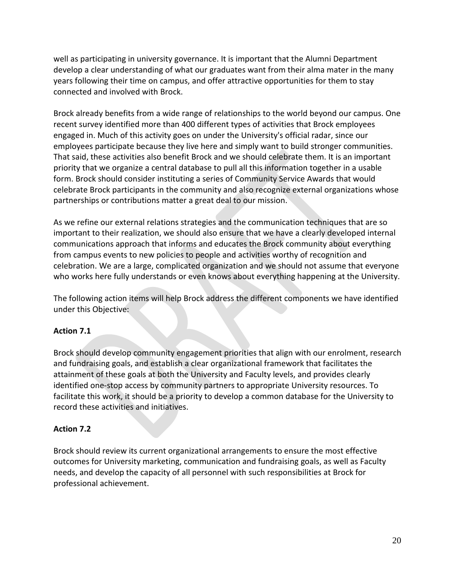well as participating in university governance. It is important that the Alumni Department develop a clear understanding of what our graduates want from their alma mater in the many years following their time on campus, and offer attractive opportunities for them to stay connected and involved with Brock.

Brock already benefits from a wide range of relationships to the world beyond our campus. One recent survey identified more than 400 different types of activities that Brock employees engaged in. Much of this activity goes on under the University's official radar, since our employees participate because they live here and simply want to build stronger communities. That said, these activities also benefit Brock and we should celebrate them. It is an important priority that we organize a central database to pull all this information together in a usable form. Brock should consider instituting a series of Community Service Awards that would celebrate Brock participants in the community and also recognize external organizations whose partnerships or contributions matter a great deal to our mission.

As we refine our external relations strategies and the communication techniques that are so important to their realization, we should also ensure that we have a clearly developed internal communications approach that informs and educates the Brock community about everything from campus events to new policies to people and activities worthy of recognition and celebration. We are a large, complicated organization and we should not assume that everyone who works here fully understands or even knows about everything happening at the University.

The following action items will help Brock address the different components we have identified under this Objective:

# **Action 7.1**

Brock should develop community engagement priorities that align with our enrolment, research and fundraising goals, and establish a clear organizational framework that facilitates the attainment of these goals at both the University and Faculty levels, and provides clearly identified one-stop access by community partners to appropriate University resources. To facilitate this work, it should be a priority to develop a common database for the University to record these activities and initiatives.

# **Action 7.2**

Brock should review its current organizational arrangements to ensure the most effective outcomes for University marketing, communication and fundraising goals, as well as Faculty needs, and develop the capacity of all personnel with such responsibilities at Brock for professional achievement.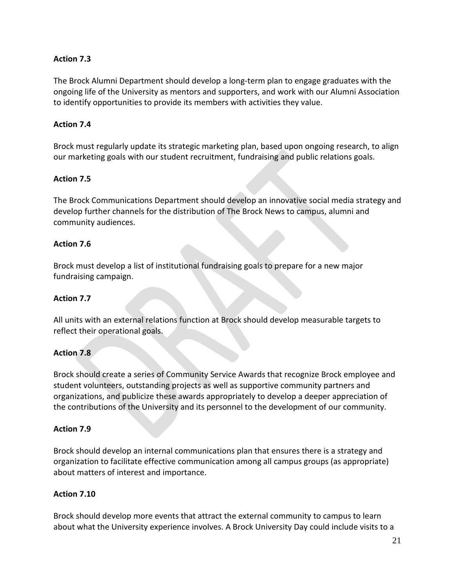# **Action 7.3**

The Brock Alumni Department should develop a long-term plan to engage graduates with the ongoing life of the University as mentors and supporters, and work with our Alumni Association to identify opportunities to provide its members with activities they value.

# **Action 7.4**

Brock must regularly update its strategic marketing plan, based upon ongoing research, to align our marketing goals with our student recruitment, fundraising and public relations goals.

# **Action 7.5**

The Brock Communications Department should develop an innovative social media strategy and develop further channels for the distribution of The Brock News to campus, alumni and community audiences.

# **Action 7.6**

Brock must develop a list of institutional fundraising goals to prepare for a new major fundraising campaign.

# **Action 7.7**

All units with an external relations function at Brock should develop measurable targets to reflect their operational goals.

# **Action 7.8**

Brock should create a series of Community Service Awards that recognize Brock employee and student volunteers, outstanding projects as well as supportive community partners and organizations, and publicize these awards appropriately to develop a deeper appreciation of the contributions of the University and its personnel to the development of our community.

# **Action 7.9**

Brock should develop an internal communications plan that ensures there is a strategy and organization to facilitate effective communication among all campus groups (as appropriate) about matters of interest and importance.

# **Action 7.10**

Brock should develop more events that attract the external community to campus to learn about what the University experience involves. A Brock University Day could include visits to a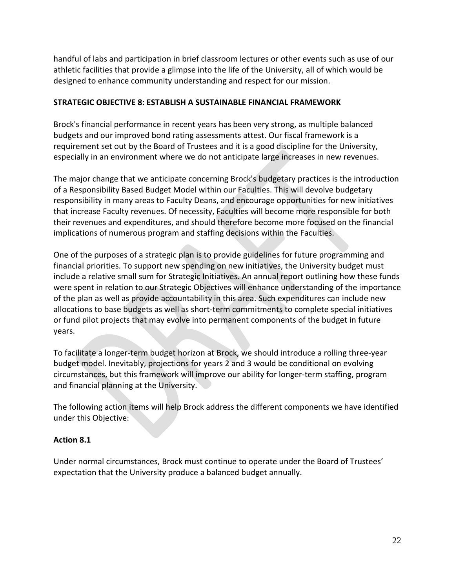handful of labs and participation in brief classroom lectures or other events such as use of our athletic facilities that provide a glimpse into the life of the University, all of which would be designed to enhance community understanding and respect for our mission.

#### **STRATEGIC OBJECTIVE 8: ESTABLISH A SUSTAINABLE FINANCIAL FRAMEWORK**

Brock's financial performance in recent years has been very strong, as multiple balanced budgets and our improved bond rating assessments attest. Our fiscal framework is a requirement set out by the Board of Trustees and it is a good discipline for the University, especially in an environment where we do not anticipate large increases in new revenues.

The major change that we anticipate concerning Brock's budgetary practices is the introduction of a Responsibility Based Budget Model within our Faculties. This will devolve budgetary responsibility in many areas to Faculty Deans, and encourage opportunities for new initiatives that increase Faculty revenues. Of necessity, Faculties will become more responsible for both their revenues and expenditures, and should therefore become more focused on the financial implications of numerous program and staffing decisions within the Faculties.

One of the purposes of a strategic plan is to provide guidelines for future programming and financial priorities. To support new spending on new initiatives, the University budget must include a relative small sum for Strategic Initiatives. An annual report outlining how these funds were spent in relation to our Strategic Objectives will enhance understanding of the importance of the plan as well as provide accountability in this area. Such expenditures can include new allocations to base budgets as well as short-term commitments to complete special initiatives or fund pilot projects that may evolve into permanent components of the budget in future years.

To facilitate a longer-term budget horizon at Brock, we should introduce a rolling three-year budget model. Inevitably, projections for years 2 and 3 would be conditional on evolving circumstances, but this framework will improve our ability for longer-term staffing, program and financial planning at the University.

The following action items will help Brock address the different components we have identified under this Objective:

# **Action 8.1**

Under normal circumstances, Brock must continue to operate under the Board of Trustees' expectation that the University produce a balanced budget annually.